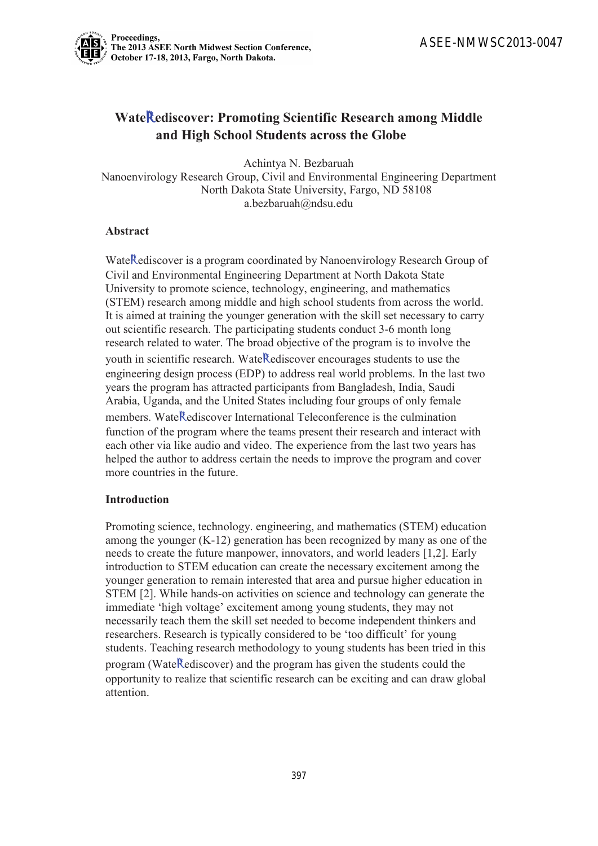

# **Wate**R**ediscover: Promoting Scientific Research among Middle and High School Students across the Globe**

Achintya N. Bezbaruah

Nanoenvirology Research Group, Civil and Environmental Engineering Department North Dakota State University, Fargo, ND 58108 a.bezbaruah@ndsu.edu

## **Abstract**

WateRediscover is a program coordinated by Nanoenvirology Research Group of Civil and Environmental Engineering Department at North Dakota State University to promote science, technology, engineering, and mathematics (STEM) research among middle and high school students from across the world. It is aimed at training the younger generation with the skill set necessary to carry out scientific research. The participating students conduct 3-6 month long research related to water. The broad objective of the program is to involve the youth in scientific research. WateRediscover encourages students to use the engineering design process (EDP) to address real world problems. In the last two years the program has attracted participants from Bangladesh, India, Saudi Arabia, Uganda, and the United States including four groups of only female members. WateRediscover International Teleconference is the culmination function of the program where the teams present their research and interact with each other via like audio and video. The experience from the last two years has helped the author to address certain the needs to improve the program and cover more countries in the future.

## **Introduction**

Promoting science, technology. engineering, and mathematics (STEM) education among the younger (K-12) generation has been recognized by many as one of the needs to create the future manpower, innovators, and world leaders [1,2]. Early introduction to STEM education can create the necessary excitement among the younger generation to remain interested that area and pursue higher education in STEM [2]. While hands-on activities on science and technology can generate the immediate 'high voltage' excitement among young students, they may not necessarily teach them the skill set needed to become independent thinkers and researchers. Research is typically considered to be 'too difficult' for young students. Teaching research methodology to young students has been tried in this program (Wate Rediscover) and the program has given the students could the opportunity to realize that scientific research can be exciting and can draw global attention.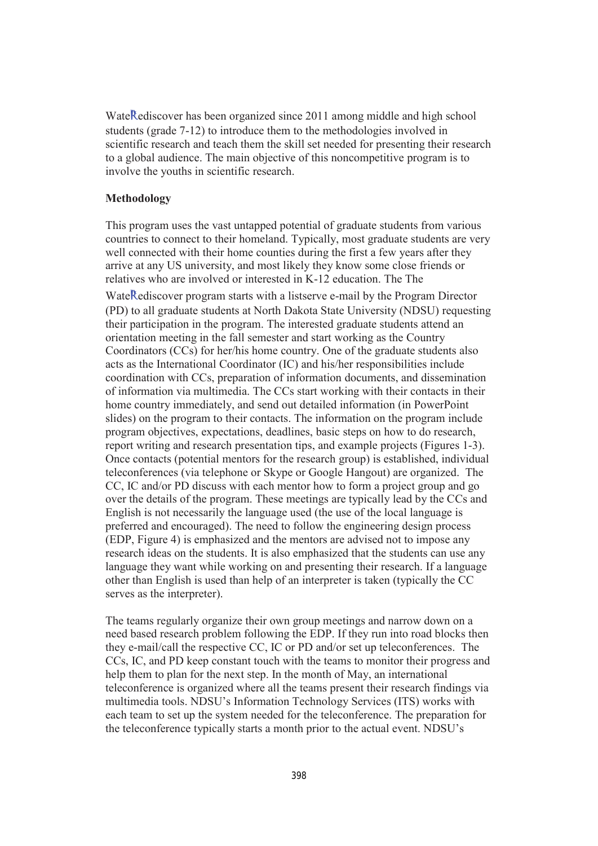WateRediscover has been organized since 2011 among middle and high school students (grade 7-12) to introduce them to the methodologies involved in scientific research and teach them the skill set needed for presenting their research to a global audience. The main objective of this noncompetitive program is to involve the youths in scientific research.

### **Methodology**

This program uses the vast untapped potential of graduate students from various countries to connect to their homeland. Typically, most graduate students are very well connected with their home counties during the first a few years after they arrive at any US university, and most likely they know some close friends or relatives who are involved or interested in K-12 education. The The

WateRediscover program starts with a listserve e-mail by the Program Director (PD) to all graduate students at North Dakota State University (NDSU) requesting their participation in the program. The interested graduate students attend an orientation meeting in the fall semester and start working as the Country Coordinators (CCs) for her/his home country. One of the graduate students also acts as the International Coordinator (IC) and his/her responsibilities include coordination with CCs, preparation of information documents, and dissemination of information via multimedia. The CCs start working with their contacts in their home country immediately, and send out detailed information (in PowerPoint slides) on the program to their contacts. The information on the program include program objectives, expectations, deadlines, basic steps on how to do research, report writing and research presentation tips, and example projects (Figures 1-3). Once contacts (potential mentors for the research group) is established, individual teleconferences (via telephone or Skype or Google Hangout) are organized. The CC, IC and/or PD discuss with each mentor how to form a project group and go over the details of the program. These meetings are typically lead by the CCs and English is not necessarily the language used (the use of the local language is preferred and encouraged). The need to follow the engineering design process (EDP, Figure 4) is emphasized and the mentors are advised not to impose any research ideas on the students. It is also emphasized that the students can use any language they want while working on and presenting their research. If a language other than English is used than help of an interpreter is taken (typically the CC serves as the interpreter).

The teams regularly organize their own group meetings and narrow down on a need based research problem following the EDP. If they run into road blocks then they e-mail/call the respective CC, IC or PD and/or set up teleconferences. The CCs, IC, and PD keep constant touch with the teams to monitor their progress and help them to plan for the next step. In the month of May, an international teleconference is organized where all the teams present their research findings via multimedia tools. NDSU's Information Technology Services (ITS) works with each team to set up the system needed for the teleconference. The preparation for the teleconference typically starts a month prior to the actual event. NDSU's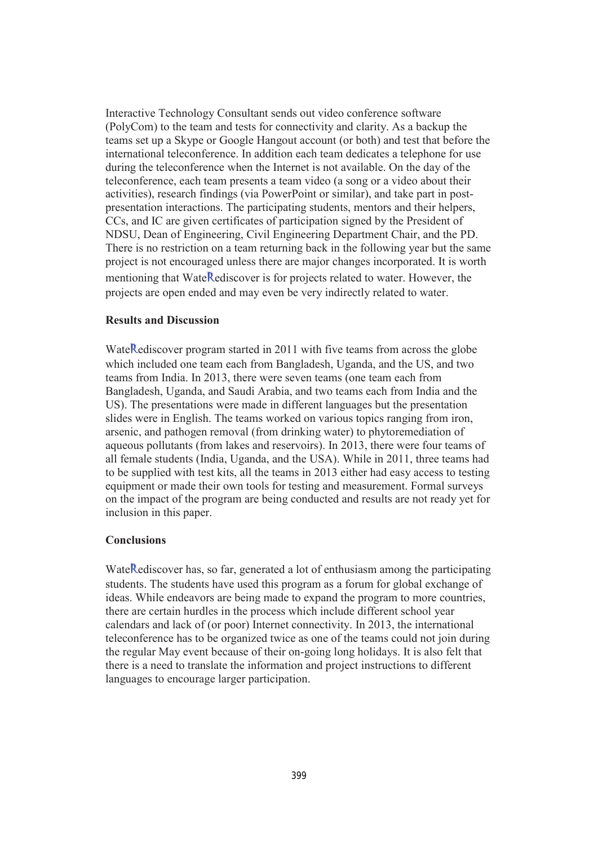Interactive Technology Consultant sends out video conference software (PolyCom) to the team and tests for connectivity and clarity. As a backup the teams set up a Skype or Google Hangout account (or both) and test that before the international teleconference. In addition each team dedicates a telephone for use during the teleconference when the Internet is not available. On the day of the teleconference, each team presents a team video (a song or a video about their activities), research findings (via PowerPoint or similar), and take part in postpresentation interactions. The participating students, mentors and their helpers, CCs, and IC are given certificates of participation signed by the President of NDSU, Dean of Engineering, Civil Engineering Department Chair, and the PD. There is no restriction on a team returning back in the following year but the same project is not encouraged unless there are major changes incorporated. It is worth mentioning that WateRediscover is for projects related to water. However, the projects are open ended and may even be very indirectly related to water.

#### **Results and Discussion**

WateRediscover program started in 2011 with five teams from across the globe which included one team each from Bangladesh, Uganda, and the US, and two teams from India. In 2013, there were seven teams (one team each from Bangladesh, Uganda, and Saudi Arabia, and two teams each from India and the US). The presentations were made in different languages but the presentation slides were in English. The teams worked on various topics ranging from iron, arsenic, and pathogen removal (from drinking water) to phytoremediation of aqueous pollutants (from lakes and reservoirs). In 2013, there were four teams of all female students (India, Uganda, and the USA). While in 2011, three teams had to be supplied with test kits, all the teams in 2013 either had easy access to testing equipment or made their own tools for testing and measurement. Formal surveys on the impact of the program are being conducted and results are not ready yet for inclusion in this paper.

#### **Conclusions**

WateRediscover has, so far, generated a lot of enthusiasm among the participating students. The students have used this program as a forum for global exchange of ideas. While endeavors are being made to expand the program to more countries, there are certain hurdles in the process which include different school year calendars and lack of (or poor) Internet connectivity. In 2013, the international teleconference has to be organized twice as one of the teams could not join during the regular May event because of their on-going long holidays. It is also felt that there is a need to translate the information and project instructions to different languages to encourage larger participation.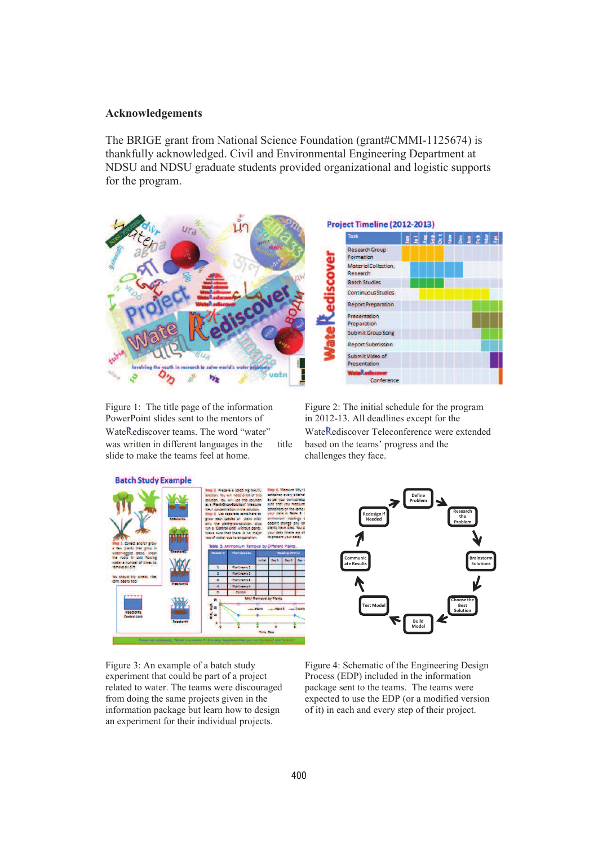#### **Acknowledgements**

The BRIGE grant from National Science Foundation (grant#CMMI-1125674) is thankfully acknowledged. Civil and Environmental Engineering Department at NDSU and NDSU graduate students provided organizational and logistic supports for the program.



Figure 1: The title page of the information PowerPoint slides sent to the mentors of WateRediscover teams. The word "water" was written in different languages in the title slide to make the teams feel at home.

Figure 2: The initial schedule for the program in 2012-13. All deadlines except for the WateRediscover Teleconference were extended based on the teams' progress and the challenges they face.



Figure 3: An example of a batch study experiment that could be part of a project related to water. The teams were discouraged from doing the same projects given in the information package but learn how to design an experiment for their individual projects.



Figure 4: Schematic of the Engineering Design Process (EDP) included in the information package sent to the teams. The teams were expected to use the EDP (or a modified version of it) in each and every step of their project.